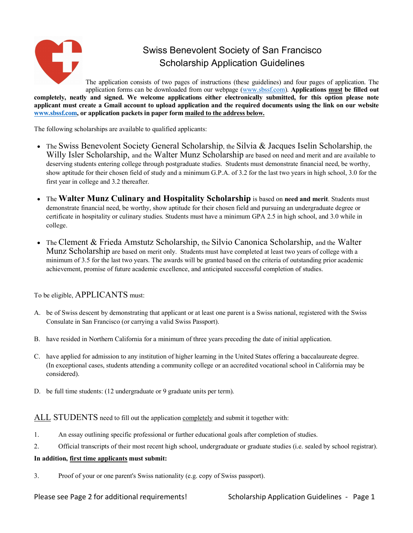

# Swiss Benevolent Society of San Francisco Scholarship Application Guidelines

The application consists of two pages of instructions (these guidelines) and four pages of application. The application forms can be downloaded from our webpage (www.sbssf.com). **Applications must be filled out completely, neatly and signed. We welcome applications either electronically submitted, for this option please note applicant must create a Gmail account to upload application and the required documents using the link on our website www.sbssf.com, or application packets in paper form mailed to the address below.**

The following scholarships are available to qualified applicants:

- The Swiss Benevolent Society General Scholarship, the Silvia & Jacques Iselin Scholarship, the Willy Isler Scholarship, and the Walter Munz Scholarship are based on need and merit and are available to deserving students entering college through postgraduate studies. Students must demonstrate financial need, be worthy, show aptitude for their chosen field of study and a minimum G.P.A. of 3.2 for the last two years in high school, 3.0 for the first year in college and 3.2 thereafter.
- The **Walter Munz Culinary and Hospitality Scholarship** is based on **need and merit**. Students must demonstrate financial need, be worthy, show aptitude for their chosen field and pursuing an undergraduate degree or certificate in hospitality or culinary studies. Students must have a minimum GPA 2.5 in high school, and 3.0 while in college.
- The Clement & Frieda Amstutz Scholarship, the Silvio Canonica Scholarship, and the Walter Munz Scholarship are based on merit only. Students must have completed at least two years of college with a minimum of 3.5 for the last two years. The awards will be granted based on the criteria of outstanding prior academic achievement, promise of future academic excellence, and anticipated successful completion of studies.

To be eligible, APPLICANTS must:

- A. be of Swiss descent by demonstrating that applicant or at least one parent is a Swiss national, registered with the Swiss Consulate in San Francisco (or carrying a valid Swiss Passport).
- B. have resided in Northern California for a minimum of three years preceding the date of initial application.
- C. have applied for admission to any institution of higher learning in the United States offering a baccalaureate degree. (In exceptional cases, students attending a community college or an accredited vocational school in California may be considered).
- D. be full time students: (12 undergraduate or 9 graduate units per term).

ALL STUDENTS need to fill out the application completely and submit it together with:

- 1. An essay outlining specific professional or further educational goals after completion of studies.
- 2. Official transcripts of their most recent high school, undergraduate or graduate studies (i.e. sealed by school registrar).

#### **In addition, first time applicants must submit:**

3. Proof of your or one parent's Swiss nationality (e.g. copy of Swiss passport).